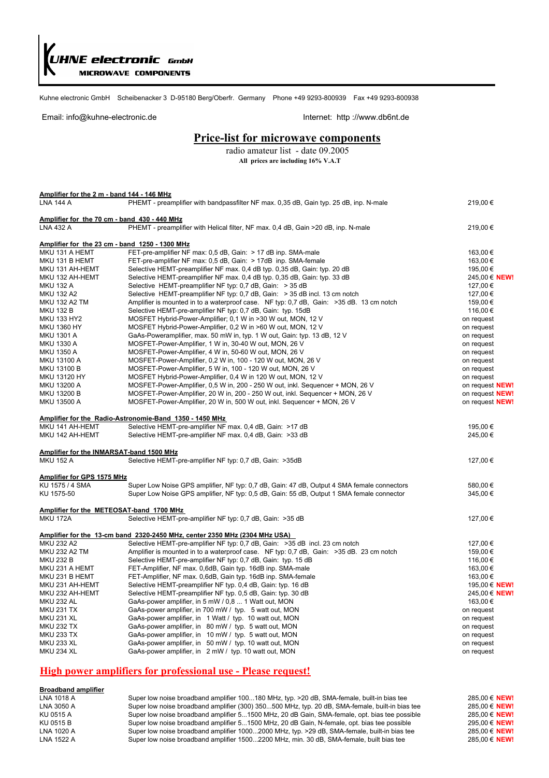*HNE electronic GmbH* **MICROWAVE COMPONENTS** 

Kuhne electronic GmbH Scheibenacker 3 D-95180 Berg/Oberfr. Germany Phone +49 9293-800939 Fax +49 9293-800938

#### Email: info@kuhne-electronic.de internet: http://www.db6nt.de

#### **Price-list for microwave components**

radio amateur list - date 09.2005 **All prices are including 16% V.A.T**

| Amplifier for the 2 m - band 144 - 146 MHz     |                                                                                                                              |                          |
|------------------------------------------------|------------------------------------------------------------------------------------------------------------------------------|--------------------------|
| <b>LNA 144 A</b>                               | PHEMT - preamplifier with bandpassfilter NF max. 0,35 dB, Gain typ. 25 dB, inp. N-male                                       | 219,00€                  |
|                                                |                                                                                                                              |                          |
| Amplifier for the 70 cm - band 430 - 440 MHz   |                                                                                                                              |                          |
| LNA 432 A                                      | PHEMT - preamplifier with Helical filter, NF max. 0,4 dB, Gain >20 dB, inp. N-male                                           | 219,00€                  |
|                                                |                                                                                                                              |                          |
| Amplifier for the 23 cm - band 1250 - 1300 MHz |                                                                                                                              |                          |
| MKU 131 A HEMT                                 | FET-pre-amplifier NF max: 0.5 dB, Gain: > 17 dB inp. SMA-male                                                                | 163,00 €                 |
| MKU 131 B HEMT                                 | FET-pre-amplifier NF max: 0,5 dB, Gain: > 17dB inp. SMA-female                                                               | 163,00 €                 |
| MKU 131 AH-HEMT                                | Selective HEMT-preamplifier NF max. 0,4 dB typ. 0,35 dB, Gain: typ. 20 dB                                                    | 195,00€                  |
| MKU 132 AH-HEMT                                | Selective HEMT-preamplifier NF max. 0,4 dB typ. 0,35 dB, Gain: typ. 33 dB                                                    | 245,00 € NEW!            |
| <b>MKU 132 A</b>                               | Selective HEMT-preamplifier NF typ: 0,7 dB, Gain: > 35 dB                                                                    | 127,00 €                 |
| <b>MKU 132 A2</b>                              | Selective HEMT-preamplifier NF typ: 0,7 dB, Gain: > 35 dB incl. 13 cm notch                                                  | 127,00 €                 |
| <b>MKU 132 A2 TM</b>                           | Amplifier is mounted in to a waterproof case. NF typ: 0,7 dB, Gain: >35 dB. 13 cm notch                                      | 159,00€                  |
| <b>MKU 132 B</b><br><b>MKU 133 HY2</b>         | Selective HEMT-pre-amplifier NF typ: 0,7 dB, Gain: typ. 15dB                                                                 | 116,00 €                 |
| <b>MKU 1360 HY</b>                             | MOSFET Hybrid-Power-Amplifier; 0,1 W in >30 W out, MON, 12 V<br>MOSFET Hybrid-Power-Amplifier, 0,2 W in >60 W out, MON, 12 V | on request               |
| <b>MKU 1301 A</b>                              | GaAs-Poweramplifier, max. 50 mW in, typ. 1 W out, Gain: typ. 13 dB, 12 V                                                     | on request<br>on request |
| <b>MKU 1330 A</b>                              | MOSFET-Power-Amplifier, 1 W in, 30-40 W out, MON, 26 V                                                                       |                          |
| <b>MKU 1350 A</b>                              | MOSFET-Power-Amplifier, 4 W in, 50-60 W out, MON, 26 V                                                                       | on request               |
| <b>MKU 13100 A</b>                             | MOSFET-Power-Amplifier, 0,2 W in, 100 - 120 W out, MON, 26 V                                                                 | on request<br>on request |
| <b>MKU 13100 B</b>                             | MOSFET-Power-Amplifier, 5 W in, 100 - 120 W out, MON, 26 V                                                                   | on request               |
| MKU 13120 HY                                   | MOSFET Hybrid-Power-Amplifier, 0,4 W in 120 W out, MON, 12 V                                                                 | on request               |
| MKU 13200 A                                    | MOSFET-Power-Amplifier, 0,5 W in, 200 - 250 W out, inkl. Sequencer + MON, 26 V                                               | on request NEW!          |
| MKU 13200 B                                    | MOSFET-Power-Amplifier, 20 W in, 200 - 250 W out, inkl. Sequencer + MON, 26 V                                                | on request NEW!          |
| MKU 13500 A                                    | MOSFET-Power-Amplifier, 20 W in, 500 W out, inkl. Sequencer + MON, 26 V                                                      | on request NEW!          |
|                                                |                                                                                                                              |                          |
|                                                | Amplifier for the Radio-Astronomie-Band 1350 - 1450 MHz                                                                      |                          |
| MKU 141 AH-HEMT                                | Selective HEMT-pre-amplifier NF max. 0.4 dB, Gain: >17 dB                                                                    | 195,00 €                 |
| MKU 142 AH-HEMT                                | Selective HEMT-pre-amplifier NF max. 0,4 dB, Gain: >33 dB                                                                    | 245,00€                  |
|                                                |                                                                                                                              |                          |
| Amplifier for the INMARSAT-band 1500 MHz       |                                                                                                                              |                          |
| <b>MKU 152 A</b>                               | Selective HEMT-pre-amplifier NF typ: 0,7 dB, Gain: >35dB                                                                     | 127,00 €                 |
|                                                |                                                                                                                              |                          |
| Amplifier for GPS 1575 MHz                     |                                                                                                                              |                          |
| KU 1575 / 4 SMA                                | Super Low Noise GPS amplifier, NF typ: 0,7 dB, Gain: 47 dB, Output 4 SMA female connectors                                   | 580,00€                  |
| KU 1575-50                                     | Super Low Noise GPS amplifier, NF typ: 0,5 dB, Gain: 55 dB, Output 1 SMA female connector                                    | 345,00€                  |
|                                                |                                                                                                                              |                          |
| Amplifier for the METEOSAT-band 1700 MHz       |                                                                                                                              |                          |
| <b>MKU 172A</b>                                | Selective HEMT-pre-amplifier NF typ: 0,7 dB, Gain: >35 dB                                                                    | 127,00 €                 |
|                                                |                                                                                                                              |                          |
|                                                | Amplifier for the 13-cm band 2320-2450 MHz, center 2350 MHz (2304 MHz USA)                                                   |                          |
| <b>MKU 232 A2</b>                              | Selective HEMT-pre-amplifier NF typ: 0,7 dB, Gain: >35 dB incl. 23 cm notch                                                  | 127,00 €                 |
| <b>MKU 232 A2 TM</b>                           | Amplifier is mounted in to a waterproof case. NF typ: 0,7 dB, Gain: >35 dB. 23 cm notch                                      | 159,00€                  |
| <b>MKU 232 B</b>                               | Selective HEMT-pre-amplifier NF typ: 0,7 dB, Gain: typ. 15 dB                                                                | 116,00 €                 |
| MKU 231 A HEMT                                 | FET-Amplifier, NF max. 0,6dB, Gain typ. 16dB inp. SMA-male                                                                   | 163,00€                  |
| MKU 231 B HEMT                                 | FET-Amplifier, NF max. 0,6dB, Gain typ. 16dB inp. SMA-female                                                                 | 163,00€                  |
| MKU 231 AH-HEMT                                | Selective HEMT-preamplifier NF typ. 0,4 dB, Gain: typ. 16 dB                                                                 | 195,00 € NEW!            |
| MKU 232 AH-HEMT                                | Selective HEMT-preamplifier NF typ. 0,5 dB, Gain: typ. 30 dB                                                                 | 245,00 € NEW!            |
| <b>MKU 232 AL</b>                              | GaAs-power amplifier, in 5 mW / 0,8  1 Watt out, MON                                                                         | 163,00€                  |
| <b>MKU 231 TX</b>                              | GaAs-power amplifier, in 700 mW / typ. 5 watt out, MON                                                                       | on request               |
| <b>MKU 231 XL</b>                              | GaAs-power amplifier, in 1 Watt / typ. 10 watt out, MON                                                                      | on request               |
| <b>MKU 232 TX</b>                              | GaAs-power amplifier, in 80 mW / typ. 5 watt out, MON                                                                        | on request               |
| <b>MKU 233 TX</b>                              | GaAs-power amplifier, in 10 mW / typ. 5 watt out, MON                                                                        | on request               |
| <b>MKU 233 XL</b>                              | GaAs-power amplifier, in 50 mW / typ. 10 watt out, MON                                                                       | on request               |
| <b>MKU 234 XL</b>                              | GaAs-power amplifier, in 2 mW / typ. 10 watt out, MON                                                                        | on request               |
|                                                |                                                                                                                              |                          |

#### **High power amplifiers for professional use - Please request!**

# **Broadband amplifier**

LNA 1018 A Super low noise broadband amplifier 100...180 MHz, typ. >20 dB, SMA-female, built-in bias tee 285,00 € **NEW!** Super low noise broadband amplifier (300) 350...500 MHz, typ. 20 dB, SMA-female, built-in bias tee 285,00 € **NEW!**<br>Super low noise broadband amplifier 5...1500 MHz, 20 dB Gain, SMA-female, opt. bias tee possible 285.00 € KU 0515 A Super low noise broadband amplifier 5...1500 MHz, 20 dB Gain, SMA-female, opt. bias tee possible KU 0515 B Super low noise broadband amplifier 5...1500 MHz, 20 dB Gain, N-female, opt. bias tee possible 295,00 € NEW! LNA 1020 A Super low noise broadband amplifier 1000...2000 MHz, typ. >29 dB, SMA-female, built-in bias tee 285,00 € **NEW!**<br>LNA 1522 A Super low noise broadband amplifier 1500...2200 MHz, min. 30 dB, SMA-female, built bias Luper low noise broadband amplifier 1500...2200 MHz, min. 30 dB, SMA-female, built bias tee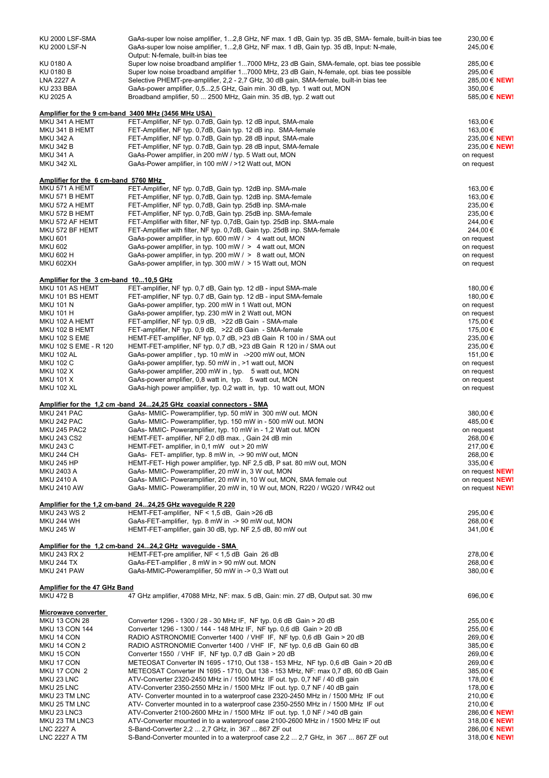| KU 2000 LSF-SMA                        | GaAs-super low noise amplifier, 12,8 GHz, NF max. 1 dB, Gain typ. 35 dB, SMA- female, built-in bias tee | 230,00 €               |
|----------------------------------------|---------------------------------------------------------------------------------------------------------|------------------------|
| <b>KU 2000 LSF-N</b>                   | GaAs-super low noise amplifier, 12,8 GHz, NF max. 1 dB, Gain typ. 35 dB, Input: N-male,                 | 245,00€                |
|                                        |                                                                                                         |                        |
|                                        | Output: N-female, built-in bias tee                                                                     |                        |
| KU 0180 A                              | Super low noise broadband amplifier 17000 MHz, 23 dB Gain, SMA-female, opt. bias tee possible           | 285,00 €               |
| KU 0180 B                              | Super low noise broadband amplifier 17000 MHz, 23 dB Gain, N-female, opt. bias tee possible             | 295,00 €               |
|                                        |                                                                                                         |                        |
| <b>LNA 2227 A</b>                      | Selective PHEMT-pre-amplifier, 2,2 - 2,7 GHz, 30 dB gain, SMA-female, built-in bias tee                 | 285,00 € NEW!          |
| <b>KU 233 BBA</b>                      | GaAs-power amplifier, 0,52,5 GHz, Gain min. 30 dB, typ. 1 watt out, MON                                 | 350,00 €               |
| KU 2025 A                              | Broadband amplifier, 50  2500 MHz, Gain min. 35 dB, typ. 2 watt out                                     | 585,00 € NEW!          |
|                                        |                                                                                                         |                        |
|                                        |                                                                                                         |                        |
|                                        | Amplifier for the 9 cm-band 3400 MHz (3456 MHz USA)                                                     |                        |
| MKU 341 A HEMT                         |                                                                                                         |                        |
|                                        | FET-Amplifier, NF typ. 0.7dB, Gain typ. 12 dB input, SMA-male                                           | 163,00 €               |
| MKU 341 B HEMT                         | FET-Amplifier, NF typ. 0,7dB, Gain typ. 12 dB inp. SMA-female                                           | 163,00€                |
| <b>MKU 342 A</b>                       | FET-Amplifier, NF typ. 0.7dB, Gain typ. 28 dB input, SMA-male                                           | 235,00 € NEW!          |
|                                        |                                                                                                         |                        |
| <b>MKU 342 B</b>                       | FET-Amplifier, NF typ. 0.7dB, Gain typ. 28 dB input, SMA-female                                         | 235,00 € NEW!          |
| <b>MKU 341 A</b>                       | GaAs-Power amplifier, in 200 mW / typ. 5 Watt out, MON                                                  | on request             |
| <b>MKU 342 XL</b>                      | GaAs-Power amplifier, in 100 mW / >12 Watt out, MON                                                     | on request             |
|                                        |                                                                                                         |                        |
|                                        |                                                                                                         |                        |
| Amplifier for the 6 cm-band 5760 MHz   |                                                                                                         |                        |
| MKU 571 A HEMT                         | FET-Amplifier, NF typ. 0,7dB, Gain typ. 12dB inp. SMA-male                                              | 163,00 €               |
|                                        |                                                                                                         |                        |
| MKU 571 B HEMT                         | FET-Amplifier, NF typ. 0,7dB, Gain typ. 12dB inp. SMA-female                                            | 163,00 €               |
| MKU 572 A HEMT                         | FET-Amplifier, NF typ. 0,7dB, Gain typ. 25dB inp. SMA-male                                              | 235,00 €               |
| MKU 572 B HEMT                         | FET-Amplifier, NF typ. 0,7dB, Gain typ. 25dB inp. SMA-female                                            | 235,00€                |
|                                        |                                                                                                         |                        |
| MKU 572 AF HEMT                        | FET-Amplifier with filter, NF typ. 0,7dB, Gain typ. 25dB inp. SMA-male                                  | 244,00 €               |
| MKU 572 BF HEMT                        | FET-Amplifier with filter, NF typ. 0,7dB, Gain typ. 25dB inp. SMA-female                                | 244,00 €               |
| <b>MKU 601</b>                         | GaAs-power amplifier, in typ. 600 mW / > 4 watt out, MON                                                | on request             |
|                                        |                                                                                                         |                        |
| <b>MKU 602</b>                         | GaAs-power amplifier, in typ. 100 mW / > 4 watt out, MON                                                | on request             |
| <b>MKU 602 H</b>                       | GaAs-power amplifier, in typ. 200 mW / > 8 watt out, MON                                                | on request             |
| MKU 602XH                              | GaAs-power amplifier, in typ. 300 mW / > 15 Watt out, MON                                               |                        |
|                                        |                                                                                                         | on request             |
|                                        |                                                                                                         |                        |
| Amplifier for the 3 cm-band 1010,5 GHz |                                                                                                         |                        |
|                                        |                                                                                                         |                        |
| MKU 101 AS HEMT                        | FET-amplifier, NF typ. 0,7 dB, Gain typ. 12 dB - input SMA-male                                         | 180,00 €               |
| MKU 101 BS HEMT                        | FET-amplifier, NF typ. 0.7 dB, Gain typ. 12 dB - input SMA-female                                       | 180,00 €               |
| <b>MKU 101 N</b>                       | GaAs-power amplifier, typ. 200 mW in 1 Watt out, MON                                                    | on request             |
|                                        |                                                                                                         |                        |
| <b>MKU 101 H</b>                       | GaAs-power amplifier, typ. 230 mW in 2 Watt out, MON                                                    | on request             |
| MKU 102 A HEMT                         | FET-amplifier, NF typ. 0,9 dB, >22 dB Gain - SMA-male                                                   | 175,00 €               |
|                                        |                                                                                                         |                        |
| MKU 102 B HEMT                         | FET-amplifier, NF typ. 0,9 dB, >22 dB Gain - SMA-female                                                 | 175,00 €               |
| MKU 102 S EME                          | HEMT-FET-amplifier, NF typ. 0,7 dB, >23 dB Gain R 100 in / SMA out                                      | 235,00 €               |
| MKU 102 S EME - R 120                  | HEMT-FET-amplifier, NF typ. 0,7 dB, >23 dB Gain R 120 in / SMA out                                      | 235,00 €               |
| <b>MKU 102 AL</b>                      |                                                                                                         |                        |
|                                        | GaAs-power amplifier, typ. 10 mW in ->200 mW out, MON                                                   | 151,00 €               |
| <b>MKU 102 C</b>                       | GaAs-power amplifier, typ. 50 mW in, >1 watt out, MON                                                   | on request             |
| <b>MKU 102 X</b>                       | GaAs-power amplifier, 200 mW in, typ. 5 watt out, MON                                                   | on request             |
| <b>MKU 101 X</b>                       |                                                                                                         |                        |
|                                        | GaAs-power amplifier, 0,8 watt in, typ. 5 watt out, MON                                                 | on request             |
| <b>MKU 102 XL</b>                      | GaAs-high power amplifier, typ. 0,2 watt in, typ. 10 watt out, MON                                      | on request             |
|                                        |                                                                                                         |                        |
|                                        | Amplifier for the 1,2 cm -band 2424,25 GHz coaxial connectors - SMA                                     |                        |
|                                        |                                                                                                         |                        |
| MKU 241 PAC                            | GaAs- MMIC- Poweramplifier, typ. 50 mW in 300 mW out. MON                                               | 380,00 €               |
| MKU 242 PAC                            | GaAs- MMIC- Poweramplifier, typ. 150 mW in - 500 mW out. MON                                            | 485,00€                |
|                                        |                                                                                                         |                        |
| <b>MKU 245 PAC2</b>                    | GaAs- MMIC- Poweramplifier, typ. 10 mW in - 1,2 Watt out. MON                                           | on request             |
| <b>MKU 243 CS2</b>                     | HEMT-FET- amplifier, NF 2,0 dB max., Gain 24 dB min                                                     | 268,00 €               |
| <b>MKU 243 C</b>                       | HEMT-FET- amplifier, in 0,1 mW out > 20 mW                                                              | 217,00€                |
|                                        |                                                                                                         |                        |
| <b>MKU 244 CH</b>                      | GaAs- FET- amplifier, typ. 8 mW in, -> 90 mW out, MON                                                   | 268,00€                |
| <b>MKU 245 HP</b>                      | HEMT-FET- High power amplifier, typ. NF 2,5 dB, P sat. 80 mW out, MON                                   | 335,00€                |
| MKU 2403 A                             | GaAs- MMIC- Poweramplifier, 20 mW in, 3 W out, MON                                                      |                        |
|                                        |                                                                                                         | on request <b>NEW!</b> |
| MKU 2410 A                             | GaAs- MMIC- Poweramplifier, 20 mW in, 10 W out, MON, SMA female out                                     | on request <b>NEW!</b> |
| <b>MKU 2410 AW</b>                     | GaAs- MMIC- Poweramplifier, 20 mW in, 10 W out, MON, R220 / WG20 / WR42 out                             | on request <b>NEW!</b> |
|                                        |                                                                                                         |                        |
|                                        |                                                                                                         |                        |
|                                        | Amplifier for the 1,2 cm-band 2424,25 GHz waveguide R 220                                               |                        |
| MKU 243 WS 2                           | HEMT-FET-amplifier, NF < 1,5 dB, Gain >26 dB                                                            | 295,00 €               |
| <b>MKU 244 WH</b>                      | GaAs-FET-amplifier, typ. 8 mW in -> 90 mW out, MON                                                      | 268,00€                |
|                                        |                                                                                                         |                        |
| <b>MKU 245 W</b>                       | HEMT-FET-amplifier, gain 30 dB, typ. NF 2,5 dB, 80 mW out                                               | 341,00 €               |
|                                        |                                                                                                         |                        |
|                                        | Amplifier for the 1,2 cm-band 2424,2 GHz wavequide - SMA                                                |                        |
|                                        |                                                                                                         |                        |
| MKU 243 RX 2                           | HEMT-FET-pre amplifier, NF < 1,5 dB Gain 26 dB                                                          | 278,00 €               |
| <b>MKU 244 TX</b>                      | GaAs-FET-amplifier, 8 mW in > 90 mW out. MON                                                            | 268,00€                |
| MKU 241 PAW                            | GaAs-MMIC-Poweramplifier, 50 mW in -> 0,3 Watt out                                                      | 380,00 €               |
|                                        |                                                                                                         |                        |
|                                        |                                                                                                         |                        |
| <b>Amplifier for the 47 GHz Band</b>   |                                                                                                         |                        |
| <b>MKU 472 B</b>                       | 47 GHz amplifier, 47088 MHz, NF: max. 5 dB, Gain: min. 27 dB, Output sat. 30 mw                         | 696,00 €               |
|                                        |                                                                                                         |                        |
|                                        |                                                                                                         |                        |
| <b>Microwave converter</b>             |                                                                                                         |                        |
| <b>MKU 13 CON 28</b>                   | Converter 1296 - 1300 / 28 - 30 MHz IF, NF typ. 0,6 dB Gain > 20 dB                                     | 255,00 €               |
|                                        | Converter 1296 - 1300 / 144 - 148 MHz IF, NF typ. 0,6 dB Gain > 20 dB                                   |                        |
| <b>MKU 13 CON 144</b>                  |                                                                                                         | 255,00 €               |
| MKU 14 CON                             | RADIO ASTRONOMIE Converter 1400 / VHF IF, NF typ. 0,6 dB Gain > 20 dB                                   | 269,00€                |
| MKU 14 CON 2                           | RADIO ASTRONOMIE Converter 1400 / VHF IF, NF typ. 0,6 dB Gain 60 dB                                     | 385,00€                |
|                                        |                                                                                                         |                        |
| MKU 15 CON                             | Converter 1550 / VHF IF, NF typ. 0,7 dB Gain > 20 dB                                                    | 269,00€                |
| MKU 17 CON                             | METEOSAT Converter IN 1695 - 1710, Out 138 - 153 MHz, NF typ. 0,6 dB Gain > 20 dB                       | 269,00€                |
| MKU 17 CON 2                           | METEOSAT Converter IN 1695 - 1710, Out 138 - 153 MHz, NF: max 0,7 dB, 60 dB Gain                        | 385,00 €               |
|                                        |                                                                                                         |                        |
| MKU 23 LNC                             | ATV-Converter 2320-2450 MHz in / 1500 MHz IF out. typ. 0,7 NF / 40 dB gain                              | 178,00 €               |
| MKU 25 LNC                             | ATV-Converter 2350-2550 MHz in / 1500 MHz IF out. typ. 0,7 NF / 40 dB gain                              | 178,00 €               |
| MKU 23 TM LNC                          | ATV- Converter mounted in to a waterproof case 2320-2450 MHz in / 1500 MHz IF out                       | 210,00€                |
|                                        |                                                                                                         |                        |
| MKU 25 TM LNC                          | ATV- Converter mounted in to a waterproof case 2350-2550 MHz in / 1500 MHz IF out                       | 210,00 €               |
| MKU 23 LNC3                            | ATV-Converter 2100-2600 MHz in / 1500 MHz IF out. typ. 1,0 NF / >40 dB gain                             | 286,00 € NEW!          |
| MKU 23 TM LNC3                         | ATV-Converter mounted in to a waterproof case 2100-2600 MHz in / 1500 MHz IF out                        | 318,00 € NEW!          |
|                                        |                                                                                                         |                        |
| <b>LNC 2227 A</b>                      | S-Band-Converter 2,2  2,7 GHz, in 367  867 ZF out                                                       | 286,00 € NEW!          |
| <b>LNC 2227 A TM</b>                   | S-Band-Converter mounted in to a waterproof case 2,2  2,7 GHz, in 367  867 ZF out                       | 318,00 € NEW!          |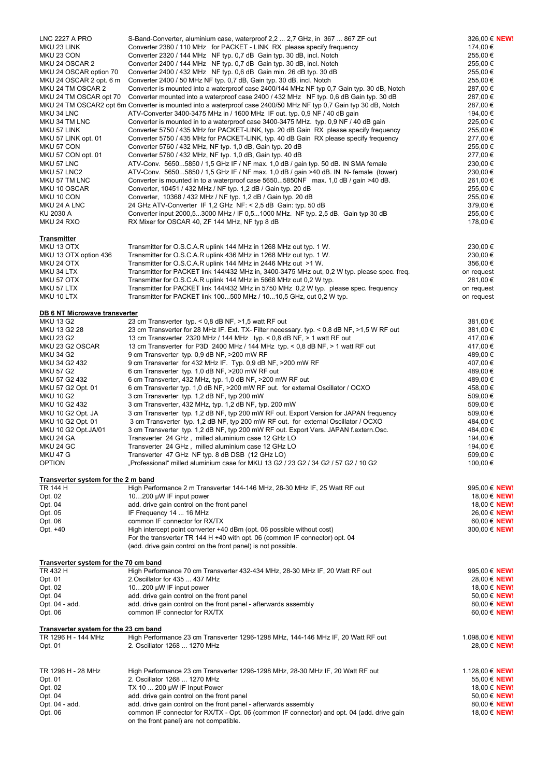| <b>LNC 2227 A PRO</b>                        | S-Band-Converter, aluminium case, waterproof 2,2  2,7 GHz, in 367  867 ZF out                                                                       | 326,00 € NEW!                   |
|----------------------------------------------|-----------------------------------------------------------------------------------------------------------------------------------------------------|---------------------------------|
| MKU 23 LINK                                  | Converter 2380 / 110 MHz for PACKET - LINK RX please specify frequency                                                                              | 174,00 €                        |
| MKU 23 CON                                   | Converter 2320 / 144 MHz NF typ. 0,7 dB Gain typ. 30 dB, incl. Notch                                                                                | 255,00 €                        |
| MKU 24 OSCAR 2                               | Converter 2400 / 144 MHz NF typ. 0,7 dB Gain typ. 30 dB, incl. Notch                                                                                | 255,00€                         |
| MKU 24 OSCAR option 70                       | Converter 2400 / 432 MHz NF typ. 0,6 dB Gain min. 26 dB typ. 30 dB                                                                                  | 255,00 €                        |
| MKU 24 OSCAR 2 opt. 6 m                      | Converter 2400 / 50 MHz NF typ. 0,7 dB, Gain typ. 30 dB, incl. Notch                                                                                | 255,00 €                        |
| MKU 24 TM OSCAR 2                            | Converter is mounted into a waterproof case 2400/144 MHz NF typ 0,7 Gain typ. 30 dB, Notch                                                          | 287,00 €                        |
| MKU 24 TM OSCAR opt 70                       | Converter mounted into a waterproof case 2400 / 432 MHz NF typ. 0,6 dB Gain typ. 30 dB                                                              | 287,00 €                        |
|                                              | MKU 24 TM OSCAR2 opt 6m Converter is mounted into a waterproof case 2400/50 MHz NF typ 0,7 Gain typ 30 dB, Notch                                    | 287,00 €                        |
| MKU 34 LNC                                   | ATV-Converter 3400-3475 MHz in / 1600 MHz IF out. typ. 0,9 NF / 40 dB gain                                                                          | 194,00 €                        |
| MKU 34 TM LNC                                | Converter is mounted in to a waterproof case 3400-3475 MHz. typ. 0,9 NF / 40 dB gain                                                                | 225,00 €                        |
| MKU 57 LINK                                  | Converter 5750 / 435 MHz for PACKET-LINK, typ. 20 dB Gain RX please specify frequency                                                               | 255,00 €                        |
| MKU 57 LINK opt. 01                          | Converter 5750 / 435 MHz for PACKET-LINK, typ. 40 dB Gain RX please specify frequency                                                               | 277,00 €                        |
| MKU 57 CON                                   | Converter 5760 / 432 MHz, NF typ. 1,0 dB, Gain typ. 20 dB                                                                                           | 255,00 €                        |
| MKU 57 CON opt. 01                           | Converter 5760 / 432 MHz, NF typ. 1,0 dB, Gain typ. 40 dB                                                                                           | 277,00 €                        |
| MKU 57 LNC                                   | ATV-Conv. 56505850 / 1,5 GHz IF / NF max. 1,0 dB / gain typ. 50 dB. IN SMA female                                                                   | 230,00 €                        |
| MKU 57 LNC2                                  | ATV-Conv. 56505850 / 1,5 GHz IF / NF max. 1,0 dB / gain >40 dB. IN N- female (tower)                                                                | 230,00 €                        |
| MKU 57 TM LNC                                | Converter is mounted in to a waterproof case 56505850NF max. 1,0 dB / gain >40 dB.                                                                  | 261,00 €                        |
| MKU 10 OSCAR                                 | Converter, 10451 / 432 MHz / NF typ. 1,2 dB / Gain typ. 20 dB                                                                                       | 255,00 €                        |
| MKU 10 CON                                   | Converter, 10368 / 432 MHz / NF typ. 1,2 dB / Gain typ. 20 dB                                                                                       | 255,00€                         |
| MKU 24 A LNC<br>KU 2030 A                    | 24 GHz ATV-Converter IF 1,2 GHz NF: < 2,5 dB Gain: typ. 50 dB                                                                                       | 379,00€<br>255,00€              |
| MKU 24 RXO                                   | Converter input 2000,53000 MHz / IF 0,51000 MHz. NF typ. 2,5 dB. Gain typ 30 dB<br>RX Mixer for OSCAR 40, ZF 144 MHz, NF typ 8 dB                   | 178,00 €                        |
|                                              |                                                                                                                                                     |                                 |
| <u>Transmitter</u>                           |                                                                                                                                                     |                                 |
| MKU 13 OTX                                   | Transmitter for O.S.C.A.R uplink 144 MHz in 1268 MHz out typ. 1 W.                                                                                  | 230,00 €                        |
| MKU 13 OTX option 436                        | Transmitter for O.S.C.A.R uplink 436 MHz in 1268 MHz out typ. 1 W.                                                                                  | 230,00 €                        |
| MKU 24 OTX                                   | Transmitter for O.S.C.A.R uplink 144 MHz in 2446 MHz out >1 W.                                                                                      | 356,00 €                        |
| MKU 34 LTX                                   | Transmitter for PACKET link 144/432 MHz in, 3400-3475 MHz out, 0,2 W typ. please spec. freq.                                                        | on request                      |
| MKU 57 OTX                                   | Transmitter for O.S.C.A.R uplink 144 MHz in 5668 MHz out 0,2 W typ.                                                                                 | 281,00 €                        |
| MKU 57 LTX                                   | Transmitter for PACKET link 144/432 MHz in 5750 MHz 0,2 W typ. please spec. frequency                                                               | on request                      |
| MKU 10 LTX                                   | Transmitter for PACKET link 100500 MHz / 1010,5 GHz, out 0,2 W typ.                                                                                 | on request                      |
|                                              |                                                                                                                                                     |                                 |
| <b>DB 6 NT Microwave transverter</b>         |                                                                                                                                                     |                                 |
| MKU 13 G2<br>MKU 13 G2 28                    | 23 cm Transverter typ. < 0,8 dB NF, >1,5 watt RF out<br>23 cm Transverter for 28 MHz IF. Ext. TX- Filter necessary. typ. < 0.8 dB NF, >1.5 W RF out | 381,00€<br>381,00€              |
| <b>MKU 23 G2</b>                             | 13 cm Transverter 2320 MHz / 144 MHz typ. < 0,8 dB NF, > 1 watt RF out                                                                              | 417,00€                         |
| MKU 23 G2 OSCAR                              | 13 cm Transverter for P3D 2400 MHz / 144 MHz typ. < 0,8 dB NF, > 1 watt RF out                                                                      | 417,00€                         |
| <b>MKU 34 G2</b>                             | 9 cm Transverter typ. 0,9 dB NF, >200 mW RF                                                                                                         | 489,00€                         |
| MKU 34 G2 432                                | 9 cm Transverter for 432 MHz IF. Typ. 0,9 dB NF, >200 mW RF                                                                                         | 407,00€                         |
| <b>MKU 57 G2</b>                             | 6 cm Transverter typ. 1,0 dB NF, >200 mW RF out                                                                                                     | 489,00€                         |
| MKU 57 G2 432                                | 6 cm Transverter, 432 MHz, typ. 1,0 dB NF, >200 mW RF out                                                                                           | 489,00 €                        |
| MKU 57 G2 Opt. 01                            | 6 cm Transverter typ. 1,0 dB NF, >200 mW RF out. for external Oscillator / OCXO                                                                     | 458,00 €                        |
| <b>MKU 10 G2</b>                             | 3 cm Transverter typ. 1,2 dB NF, typ 200 mW                                                                                                         | 509,00€                         |
| MKU 10 G2 432                                | 3 cm Transverter, 432 MHz, typ. 1,2 dB NF, typ. 200 mW                                                                                              | 509,00€                         |
| MKU 10 G2 Opt. JA                            | 3 cm Transverter typ. 1,2 dB NF, typ 200 mW RF out. Export Version for JAPAN frequency                                                              | 509,00€                         |
| MKU 10 G2 Opt. 01                            | 3 cm Transverter typ. 1,2 dB NF, typ 200 mW RF out. for external Oscillator / OCXO                                                                  | 484,00 €                        |
| MKU 10 G2 Opt.JA/01                          | 3 cm Transverter typ. 1,2 dB NF, typ 200 mW RF out. Export Vers. JAPAN f.extern.Osc.                                                                | 484,00 €                        |
| MKU 24 GA                                    | Transverter 24 GHz, milled aluminium case 12 GHz LO                                                                                                 | 194,00 €                        |
| MKU 24 GC                                    | Transverter 24 GHz, milled aluminium case 12 GHz LO                                                                                                 | 194,00 €                        |
| <b>MKU 47 G</b>                              | Transverter 47 GHz NF typ. 8 dB DSB (12 GHz LO)                                                                                                     | 509,00€                         |
| <b>OPTION</b>                                | Professional" milled aluminium case for MKU 13 G2 / 23 G2 / 34 G2 / 57 G2 / 10 G2                                                                   | 100,00 €                        |
|                                              |                                                                                                                                                     |                                 |
| <b>Transverter system for the 2 m band</b>   |                                                                                                                                                     |                                 |
| TR 144 H                                     | High Performance 2 m Transverter 144-146 MHz, 28-30 MHz IF, 25 Watt RF out                                                                          | 995,00 € NEW!                   |
| Opt. 02                                      | 10200 µW IF input power                                                                                                                             | 18,00 € NEW!                    |
| Opt. 04                                      | add. drive gain control on the front panel                                                                                                          | 18,00 € NEW!                    |
| Opt. 05                                      | IF Frequency 14  16 MHz                                                                                                                             | 26,00 € NEW!                    |
| Opt. 06                                      | common IF connector for RX/TX                                                                                                                       | 60,00 € NEW!                    |
| Opt. +40                                     | High intercept point converter +40 dBm (opt. 06 possible without cost)                                                                              | 300,00 € NEW!                   |
|                                              | For the transverter TR 144 H +40 with opt. 06 (common IF connector) opt. 04                                                                         |                                 |
|                                              | (add. drive gain control on the front panel) is not possible.                                                                                       |                                 |
| <b>Transverter system for the 70 cm band</b> |                                                                                                                                                     |                                 |
| TR 432 H                                     | High Performance 70 cm Transverter 432-434 MHz, 28-30 MHz IF, 20 Watt RF out                                                                        | 995,00 € NEW!                   |
| Opt. 01                                      | 2. Oscillator for 435  437 MHz                                                                                                                      | 28,00 € NEW!                    |
| Opt. 02                                      | 10200 $\mu$ W IF input power                                                                                                                        | 18,00 € NEW!                    |
| Opt. 04                                      | add. drive gain control on the front panel                                                                                                          | 50,00 € NEW!                    |
| Opt. 04 - add.                               | add. drive gain control on the front panel - afterwards assembly                                                                                    | 80,00 € NEW!                    |
| Opt. 06                                      | common IF connector for RX/TX                                                                                                                       | 60,00 € NEW!                    |
|                                              |                                                                                                                                                     |                                 |
| Transverter system for the 23 cm band        |                                                                                                                                                     |                                 |
| TR 1296 H - 144 MHz<br>Opt. 01               | High Performance 23 cm Transverter 1296-1298 MHz, 144-146 MHz IF, 20 Watt RF out<br>2. Oscillator 1268  1270 MHz                                    | 1.098,00 € NEW!<br>28,00 € NEW! |
|                                              |                                                                                                                                                     |                                 |
|                                              |                                                                                                                                                     |                                 |
| TR 1296 H - 28 MHz                           | High Performance 23 cm Transverter 1296-1298 MHz, 28-30 MHz IF, 20 Watt RF out                                                                      | 1.128,00 € NEW!                 |
| Opt. 01                                      | 2. Oscillator 1268  1270 MHz                                                                                                                        | 55,00 € NEW!                    |
| Opt. 02                                      | TX 10 $\dots$ 200 µW IF Input Power                                                                                                                 | 18,00 € NEW!                    |
| Opt. 04                                      | add. drive gain control on the front panel                                                                                                          | 50,00 € NEW!                    |
| Opt. 04 - add.                               | add. drive gain control on the front panel - afterwards assembly                                                                                    | 80,00 € NEW!                    |
| Opt. 06                                      | common IF connector for RX/TX - Opt. 06 (common IF connector) and opt. 04 (add. drive gain                                                          | 18,00 € NEW!                    |
|                                              | on the front panel) are not compatible.                                                                                                             |                                 |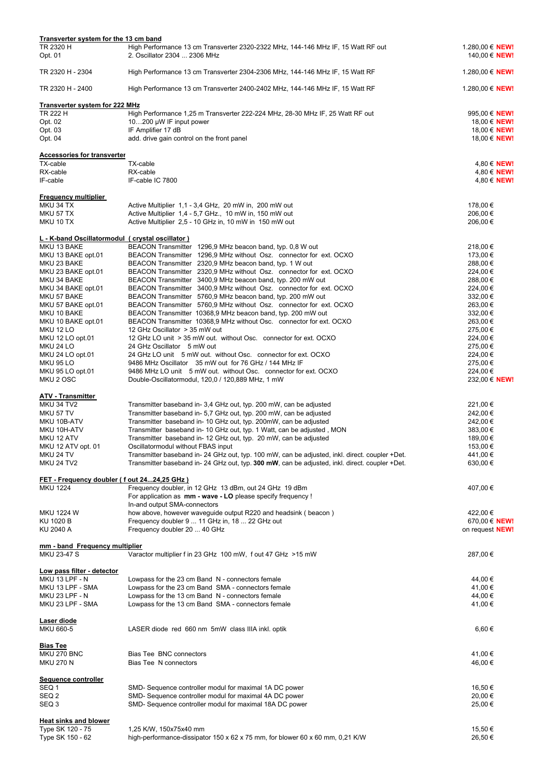| <b>Transverter system for the 13 cm band</b>     |                                                                                                                  |                                          |
|--------------------------------------------------|------------------------------------------------------------------------------------------------------------------|------------------------------------------|
| TR 2320 H<br>Opt. 01                             | High Performance 13 cm Transverter 2320-2322 MHz, 144-146 MHz IF, 15 Watt RF out<br>2. Oscillator 2304  2306 MHz | 1.280,00 € NEW!<br>140,00 € NEW!         |
| TR 2320 H - 2304                                 | High Performance 13 cm Transverter 2304-2306 MHz, 144-146 MHz IF, 15 Watt RF                                     | 1.280,00 € NEW!                          |
| TR 2320 H - 2400                                 | High Performance 13 cm Transverter 2400-2402 MHz, 144-146 MHz IF, 15 Watt RF                                     | 1.280,00 € NEW!                          |
| Transverter system for 222 MHz                   |                                                                                                                  |                                          |
| TR 222 H                                         | High Performance 1,25 m Transverter 222-224 MHz, 28-30 MHz IF, 25 Watt RF out                                    | 995,00 € NEW!                            |
| Opt. 02                                          | 10200 $\mu$ W IF input power                                                                                     | 18,00 € <b>NEW!</b>                      |
| Opt. 03                                          | IF Amplifier 17 dB                                                                                               | 18,00 € NEW!                             |
| Opt. 04                                          | add. drive gain control on the front panel                                                                       | 18,00 € NEW!                             |
| <b>Accessories for transverter</b>               |                                                                                                                  |                                          |
| TX-cable                                         | TX-cable                                                                                                         | 4,80 € <b>NEW!</b>                       |
| RX-cable<br>IF-cable                             | RX-cable<br>IF-cable IC 7800                                                                                     | 4,80 € <b>NEW!</b><br>4,80 € <b>NEW!</b> |
| <b>Frequency multiplier</b>                      |                                                                                                                  |                                          |
| MKU 34 TX                                        | Active Multiplier 1,1 - 3,4 GHz, 20 mW in, 200 mW out                                                            | 178,00 €                                 |
| MKU 57 TX                                        | Active Multiplier 1,4 - 5,7 GHz., 10 mW in, 150 mW out                                                           | 206,00 €                                 |
| MKU 10 TX                                        | Active Multiplier 2,5 - 10 GHz in, 10 mW in 150 mW out                                                           | 206,00€                                  |
| L - K-band Oscillatormodul (crystal oscillator)  |                                                                                                                  |                                          |
| MKU 13 BAKE                                      | BEACON Transmitter 1296,9 MHz beacon band, typ. 0,8 W out                                                        | 218,00€                                  |
| MKU 13 BAKE opt.01                               | BEACON Transmitter 1296,9 MHz without Osz. connector for ext. OCXO                                               | 173,00€                                  |
| MKU 23 BAKE                                      | BEACON Transmitter 2320,9 MHz beacon band, typ. 1 W out                                                          | 288,00 €                                 |
| MKU 23 BAKE opt.01                               | BEACON Transmitter 2320,9 MHz without Osz. connector for ext. OCXO                                               | 224,00€                                  |
| MKU 34 BAKE                                      | BEACON Transmitter 3400,9 MHz beacon band, typ. 200 mW out                                                       | 288,00 €                                 |
| MKU 34 BAKE opt.01                               | BEACON Transmitter 3400,9 MHz without Osz. connector for ext. OCXO                                               | 224,00€                                  |
| MKU 57 BAKE                                      | BEACON Transmitter 5760,9 MHz beacon band, typ. 200 mW out                                                       | 332,00 €                                 |
| MKU 57 BAKE opt.01                               | BEACON Transmitter 5760,9 MHz without Osz. connector for ext. OCXO                                               | 263,00 €                                 |
| MKU 10 BAKE                                      | BEACON Transmitter 10368,9 MHz beacon band, typ. 200 mW out                                                      | 332,00 €                                 |
| MKU 10 BAKE opt.01                               | BEACON Transmitter 10368,9 MHz without Osc. connector for ext. OCXO                                              | 263,00 €                                 |
|                                                  | 12 GHz Oscillator > 35 mW out                                                                                    |                                          |
| MKU 12 LO                                        |                                                                                                                  | 275,00 €                                 |
| MKU 12 LO opt.01                                 | 12 GHz LO unit > 35 mW out. without Osc. connector for ext. OCXO                                                 | 224,00€                                  |
| MKU 24 LO                                        | 24 GHz Oscillator 5 mW out                                                                                       | 275,00 €                                 |
| MKU 24 LO opt.01                                 | 24 GHz LO unit 5 mW out. without Osc. connector for ext. OCXO                                                    | 224,00€                                  |
| MKU 95 LO                                        | 9486 MHz Oscillator 35 mW out for 76 GHz / 144 MHz IF                                                            | 275,00 €                                 |
| MKU 95 LO opt.01                                 | 9486 MHz LO unit 5 mW out. without Osc. connector for ext. OCXO                                                  | 224,00€                                  |
| MKU 2 OSC                                        | Double-Oscillatormodul, 120,0 / 120,889 MHz, 1 mW                                                                | 232,00 € NEW!                            |
| ATV - Transmitter                                |                                                                                                                  |                                          |
| MKU 34 TV2                                       | Transmitter baseband in-3,4 GHz out, typ. 200 mW, can be adjusted                                                | 221,00€                                  |
| MKU 57 TV                                        | Transmitter baseband in- 5,7 GHz out, typ. 200 mW, can be adjusted                                               | 242,00 €                                 |
| MKU 10B-ATV                                      | Transmitter baseband in-10 GHz out, typ. 200mW, can be adjusted                                                  | 242,00 €                                 |
| MKU 10H-ATV                                      | Transmitter baseband in-10 GHz out, typ. 1 Watt, can be adjusted, MON                                            | 383,00 €                                 |
| MKU 12 ATV                                       | Transmitter baseband in-12 GHz out, typ. 20 mW, can be adjusted                                                  | 189,00 €                                 |
| MKU 12 ATV opt. 01                               | Oscillatormodul without FBAS input                                                                               | 153,00 €                                 |
| MKU 24 TV                                        | Transmitter baseband in- 24 GHz out, typ. 100 mW, can be adjusted, inkl. direct. coupler +Det.                   | 441,00€                                  |
| MKU 24 TV2                                       | Transmitter baseband in- 24 GHz out, typ. 300 mW, can be adjusted, inkl. direct. coupler +Det.                   | 630,00 €                                 |
| FET - Frequency doubler (fout 2424,25 GHz)       |                                                                                                                  |                                          |
| <b>MKU 1224</b>                                  | Frequency doubler, in 12 GHz 13 dBm, out 24 GHz 19 dBm                                                           | 407,00 €                                 |
|                                                  | For application as <b>mm - wave - LO</b> please specify frequency !<br>In-and output SMA-connectors              |                                          |
| MKU 1224 W                                       | how above, however waveguide output R220 and headsink (beacon)                                                   | 422,00 €                                 |
| KU 1020 B                                        | Frequency doubler 9  11 GHz in, 18  22 GHz out                                                                   | 670,00 € NEW!                            |
| KU 2040 A                                        | Frequency doubler 20  40 GHz                                                                                     | on request NEW!                          |
| mm - band Frequency multiplier                   |                                                                                                                  |                                          |
| MKU 23-47 S                                      | Varactor multiplier f in 23 GHz 100 mW, f out 47 GHz > 15 mW                                                     | 287,00 €                                 |
| <u>Low pass filter - detector</u>                |                                                                                                                  |                                          |
| MKU 13 LPF - N                                   | Lowpass for the 23 cm Band N - connectors female                                                                 | 44,00 €                                  |
| MKU 13 LPF - SMA                                 | Lowpass for the 23 cm Band SMA - connectors female                                                               | 41,00 €                                  |
| MKU 23 LPF - N                                   | Lowpass for the 13 cm Band N - connectors female                                                                 | 44,00 €                                  |
| MKU 23 LPF - SMA                                 | Lowpass for the 13 cm Band SMA - connectors female                                                               | 41,00 €                                  |
| <u>Laser diode</u>                               |                                                                                                                  |                                          |
| MKU 660-5                                        | LASER diode red 660 nm 5mW class IIIA inkl. optik                                                                | 6,60 €                                   |
| <b>Bias Tee</b>                                  |                                                                                                                  |                                          |
| MKU 270 BNC<br>MKU 270 N                         | Bias Tee BNC connectors<br>Bias Tee N connectors                                                                 | 41,00 €<br>46,00€                        |
| Sequence controller                              |                                                                                                                  |                                          |
| SEQ 1                                            | SMD-Sequence controller modul for maximal 1A DC power                                                            | 16,50 €                                  |
| SEQ 2                                            | SMD-Sequence controller modul for maximal 4A DC power                                                            | 20,00 €                                  |
| SEQ 3                                            | SMD-Sequence controller modul for maximal 18A DC power                                                           | 25,00 €                                  |
|                                                  |                                                                                                                  |                                          |
| <b>Heat sinks and blower</b><br>Type SK 120 - 75 | 1,25 K/W, 150x75x40 mm                                                                                           | 15,50 €                                  |
| Type SK 150 - 62                                 | high-performance-dissipator 150 x 62 x 75 mm, for blower 60 x 60 mm, 0,21 K/W                                    | 26,50 €                                  |
|                                                  |                                                                                                                  |                                          |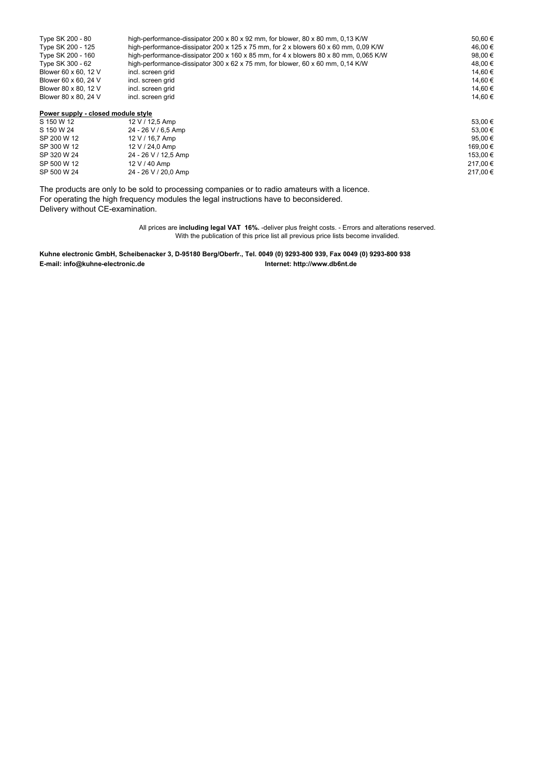| high-performance-dissipator 200 x 80 x 92 mm, for blower, 80 x 80 mm, 0,13 K/W<br>Type SK 200 - 80 |                                                                                      | 50.60€  |
|----------------------------------------------------------------------------------------------------|--------------------------------------------------------------------------------------|---------|
| Type SK 200 - 125                                                                                  | high-performance-dissipator 200 x 125 x 75 mm, for 2 x blowers 60 x 60 mm, 0,09 K/W  | 46.00 € |
| Type SK 200 - 160                                                                                  | high-performance-dissipator 200 x 160 x 85 mm, for 4 x blowers 80 x 80 mm, 0,065 K/W | 98,00 € |
| Type SK 300 - 62                                                                                   | high-performance-dissipator 300 x 62 x 75 mm, for blower, 60 x 60 mm, 0,14 K/W       | 48.00 € |
| Blower 60 x 60, 12 V                                                                               | incl. screen grid                                                                    | 14.60 € |
| Blower 60 x 60, 24 V                                                                               | incl. screen grid                                                                    | 14,60 € |
| Blower 80 x 80, 12 V                                                                               | incl. screen grid                                                                    | 14.60 € |
| Blower 80 x 80, 24 V                                                                               | incl. screen grid                                                                    | 14.60 € |
| Power supply - closed module style                                                                 |                                                                                      |         |
| S 150 W 12                                                                                         | 12 V / 12.5 Amp                                                                      | 53.00 € |
| S 150 W 24                                                                                         | 24 - 26 V / 6.5 Amp                                                                  | 53.00 € |
|                                                                                                    |                                                                                      |         |

|             |                      | ----- -  |
|-------------|----------------------|----------|
| SP 200 W 12 | $12 V / 16.7$ Amp    | 95,00€   |
| SP 300 W 12 | $12 V / 24.0$ Amp    | 169.00 € |
| SP 320 W 24 | 24 - 26 V / 12,5 Amp | 153.00 € |
| SP 500 W 12 | 12 V / 40 Amp        | 217,00€  |
| SP 500 W 24 | 24 - 26 V / 20,0 Amp | 217,00€  |
|             |                      |          |
|             |                      |          |

The products are only to be sold to processing companies or to radio amateurs with a licence. For operating the high frequency modules the legal instructions have to beconsidered. Delivery without CE-examination.

> All prices are **including legal VAT 16%.** -deliver plus freight costs. - Errors and alterations reserved. With the publication of this price list all previous price lists become invalided.

**Kuhne electronic GmbH, Scheibenacker 3, D-95180 Berg/Oberfr., Tel. 0049 (0) 9293-800 939, Fax 0049 (0) 9293-800 938 E-mail: info@kuhne-electronic.de Internet: http://www.db6nt.de**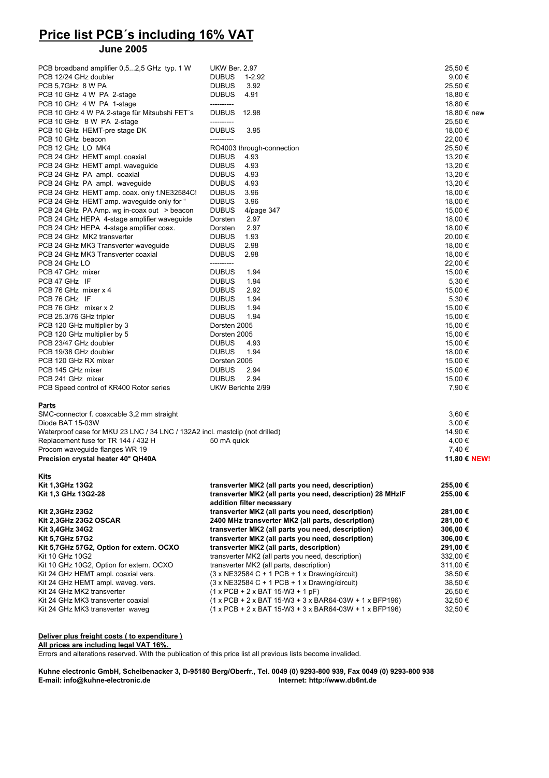# **Price list PCB´s including 16% VAT**

#### **June 2005**

| PCB broadband amplifier 0,52,5 GHz typ. 1 W                                  | <b>UKW Ber. 2.97</b>                                                                                   | 25,50 €              |
|------------------------------------------------------------------------------|--------------------------------------------------------------------------------------------------------|----------------------|
| PCB 12/24 GHz doubler                                                        | <b>DUBUS</b><br>$1 - 2.92$                                                                             | $9,00 \in$           |
| PCB 5.7GHz 8 W PA                                                            | <b>DUBUS</b><br>3.92                                                                                   | 25,50 €              |
| PCB 10 GHz 4 W PA 2-stage                                                    | <b>DUBUS</b><br>4.91                                                                                   | 18,80 €              |
| PCB 10 GHz 4 W PA 1-stage                                                    | ----------                                                                                             | 18,80 €              |
| PCB 10 GHz 4 W PA 2-stage für Mitsubshi FET's                                | <b>DUBUS</b><br>12.98                                                                                  | 18,80 € new          |
| PCB 10 GHz 8 W PA 2-stage                                                    | ----------                                                                                             | 25,50 €              |
| PCB 10 GHz HEMT-pre stage DK                                                 | <b>DUBUS</b><br>3.95                                                                                   | 18,00 €              |
| PCB 10 GHz beacon                                                            |                                                                                                        | 22,00 €              |
| PCB 12 GHz LO MK4<br>PCB 24 GHz HEMT ampl. coaxial                           | RO4003 through-connection<br><b>DUBUS</b><br>4.93                                                      | 25,50 €<br>13,20 €   |
| PCB 24 GHz HEMT ampl. waveguide                                              | <b>DUBUS</b><br>4.93                                                                                   | 13,20 €              |
| PCB 24 GHz PA ampl. coaxial                                                  | <b>DUBUS</b><br>4.93                                                                                   | 13,20 €              |
| PCB 24 GHz PA ampl. waveguide                                                | <b>DUBUS</b><br>4.93                                                                                   | 13,20 €              |
| PCB 24 GHz HEMT amp. coax. only f.NE32584C!                                  | <b>DUBUS</b><br>3.96                                                                                   | 18,00 €              |
| PCB 24 GHz HEMT amp. waveguide only for "                                    | <b>DUBUS</b><br>3.96                                                                                   | 18,00 €              |
| PCB 24 GHz PA Amp. wg in-coax out > beacon                                   | <b>DUBUS</b><br>4/page 347                                                                             | 15,00 €              |
| PCB 24 GHz HEPA 4-stage amplifier waveguide                                  | Dorsten<br>2.97                                                                                        | 18,00 €              |
| PCB 24 GHz HEPA 4-stage amplifier coax.                                      | 2.97<br>Dorsten                                                                                        | 18,00 €              |
| PCB 24 GHz MK2 transverter                                                   | <b>DUBUS</b><br>1.93                                                                                   | 20,00 €              |
| PCB 24 GHz MK3 Transverter waveguide                                         | <b>DUBUS</b><br>2.98                                                                                   | 18,00 €              |
| PCB 24 GHz MK3 Transverter coaxial                                           | <b>DUBUS</b><br>2.98                                                                                   | 18,00 €              |
| PCB 24 GHz LO                                                                | ----------                                                                                             | 22,00 €              |
| PCB 47 GHz mixer                                                             | <b>DUBUS</b><br>1.94                                                                                   | 15,00 €              |
| PCB 47 GHz IF                                                                | <b>DUBUS</b><br>1.94                                                                                   | 5,30 €               |
| PCB 76 GHz mixer x 4                                                         | <b>DUBUS</b><br>2.92                                                                                   | 15,00 €              |
| PCB 76 GHz IF                                                                | <b>DUBUS</b><br>1.94                                                                                   | 5,30 €               |
| PCB 76 GHz mixer x 2                                                         | <b>DUBUS</b><br>1.94                                                                                   | 15,00 €              |
| PCB 25.3/76 GHz tripler                                                      | <b>DUBUS</b><br>1.94                                                                                   | 15,00 €              |
| PCB 120 GHz multiplier by 3                                                  | Dorsten 2005                                                                                           | 15,00 €              |
| PCB 120 GHz multiplier by 5                                                  | Dorsten 2005                                                                                           | 15,00 €              |
| PCB 23/47 GHz doubler                                                        | <b>DUBUS</b><br>4.93                                                                                   | 15,00 €              |
| PCB 19/38 GHz doubler                                                        | <b>DUBUS</b><br>1.94                                                                                   | 18,00 €              |
| PCB 120 GHz RX mixer                                                         | Dorsten 2005                                                                                           | 15,00 €              |
| PCB 145 GHz mixer                                                            | <b>DUBUS</b><br>2.94                                                                                   | 15,00 €              |
| PCB 241 GHz mixer                                                            | 2.94<br><b>DUBUS</b><br>UKW Berichte 2/99                                                              | 15,00 €<br>7,90 €    |
| PCB Speed control of KR400 Rotor series                                      |                                                                                                        |                      |
| <u>Parts</u>                                                                 |                                                                                                        |                      |
| SMC-connector f. coaxcable 3,2 mm straight                                   |                                                                                                        | 3,60 €               |
| Diode BAT 15-03W                                                             |                                                                                                        | 3,00€                |
| Waterproof case for MKU 23 LNC / 34 LNC / 132A2 incl. mastclip (not drilled) |                                                                                                        | 14,90 €              |
| Replacement fuse for TR 144 / 432 H                                          | 50 mA quick                                                                                            | 4,00 €               |
| Procom waveguide flanges WR 19                                               |                                                                                                        | 7,40 €               |
| Precision crystal heater 40° QH40A                                           |                                                                                                        | 11,80 € NEW!         |
| <b>Kits</b>                                                                  |                                                                                                        |                      |
| Kit 1,3GHz 13G2                                                              | transverter MK2 (all parts you need, description)                                                      | 255,00 €             |
| Kit 1,3 GHz 13G2-28                                                          | transverter MK2 (all parts you need, description) 28 MHzIF                                             | 255,00 €             |
|                                                                              | addition filter necessary                                                                              |                      |
| Kit 2,3GHz 23G2                                                              | transverter MK2 (all parts you need, description)                                                      | 281,00 €             |
| Kit 2,3GHz 23G2 OSCAR                                                        | 2400 MHz transverter MK2 (all parts, description)<br>transverter MK2 (all parts you need, description) | 281,00 €             |
| Kit 3,4GHz 34G2<br>Kit 5,7GHz 57G2                                           | transverter MK2 (all parts you need, description)                                                      | 306,00 €<br>306,00 € |
| Kit 5,7GHz 57G2, Option for extern. OCXO                                     | transverter MK2 (all parts, description)                                                               | 291,00 €             |
| Kit 10 GHz 10G2                                                              | transverter MK2 (all parts you need, description)                                                      | 332,00 €             |
| Kit 10 GHz 10G2, Option for extern. OCXO                                     | transverter MK2 (all parts, description)                                                               | 311,00 €             |
| Kit 24 GHz HEMT ampl. coaxial vers.                                          | $(3 \times NE32584 C + 1 PCB + 1 \times Drawing/circuit)$                                              | 38,50 €              |
| Kit 24 GHz HEMT ampl. waveg. vers.                                           | $(3 \times NE32584 C + 1 PCB + 1 \times Drawing/circuit)$                                              | 38,50 €              |
| Kit 24 GHz MK2 transverter                                                   | $(1 x PCB + 2 x BAT 15-W3 + 1 pF)$                                                                     | 26,50 €              |
| Kit 24 GHz MK3 transverter coaxial                                           | (1 x PCB + 2 x BAT 15-W3 + 3 x BAR64-03W + 1 x BFP196)                                                 | 32,50 €              |
| Kit 24 GHz MK3 transverter waveg                                             | $(1 x PCB + 2 x BAT 15-W3 + 3 x BAR64-03W + 1 x BFP196)$                                               | 32,50 €              |

#### **Deliver plus freight costs ( to expenditure )**

**All prices are including legal VAT 16%.** 

Errors and alterations reserved. With the publication of this price list all previous lists become invalided.

**Kuhne electronic GmbH, Scheibenacker 3, D-95180 Berg/Oberfr., Tel. 0049 (0) 9293-800 939, Fax 0049 (0) 9293-800 938 E-mail: info@kuhne-electronic.de**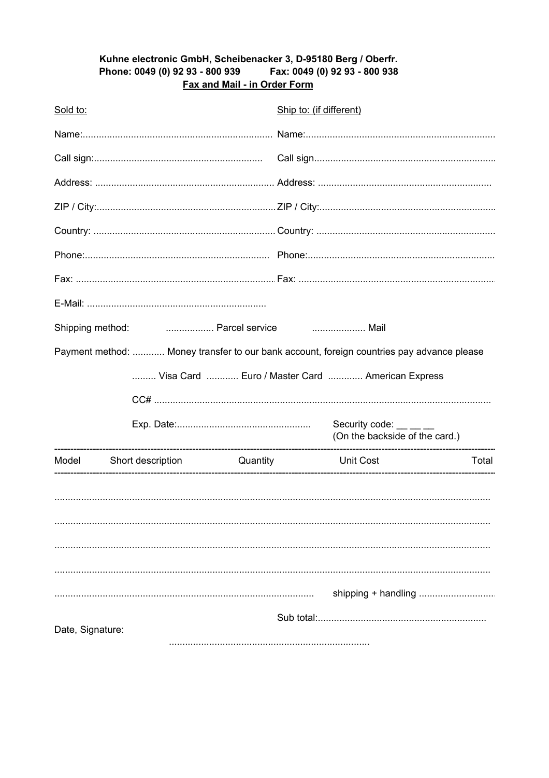#### Kuhne electronic GmbH, Scheibenacker 3, D-95180 Berg / Oberfr. Fax: 0049 (0) 92 93 - 800 938 Phone: 0049 (0) 92 93 - 800 939 Fax and Mail - in Order Form

| Sold to:         |                                          | Ship to: (if different)                                                                   |                                                          |       |
|------------------|------------------------------------------|-------------------------------------------------------------------------------------------|----------------------------------------------------------|-------|
|                  |                                          |                                                                                           |                                                          |       |
|                  |                                          |                                                                                           |                                                          |       |
|                  |                                          |                                                                                           |                                                          |       |
|                  |                                          |                                                                                           |                                                          |       |
|                  |                                          |                                                                                           |                                                          |       |
|                  |                                          |                                                                                           |                                                          |       |
|                  |                                          |                                                                                           |                                                          |       |
|                  |                                          |                                                                                           |                                                          |       |
|                  | Mail<br>Shipping method:  Parcel service |                                                                                           |                                                          |       |
|                  |                                          | Payment method:  Money transfer to our bank account, foreign countries pay advance please |                                                          |       |
|                  |                                          | Visa Card  Euro / Master Card  American Express                                           |                                                          |       |
|                  |                                          |                                                                                           |                                                          |       |
|                  |                                          |                                                                                           | Security code: __ __ _<br>(On the backside of the card.) |       |
| Model            |                                          | Short description Cuantity Unit Cost                                                      |                                                          | Total |
|                  |                                          |                                                                                           |                                                          |       |
|                  |                                          |                                                                                           |                                                          |       |
|                  |                                          |                                                                                           |                                                          |       |
|                  |                                          |                                                                                           |                                                          |       |
|                  |                                          |                                                                                           | shipping + handling                                      |       |
|                  |                                          |                                                                                           |                                                          |       |
| Date, Signature: |                                          |                                                                                           |                                                          |       |
|                  |                                          |                                                                                           |                                                          |       |